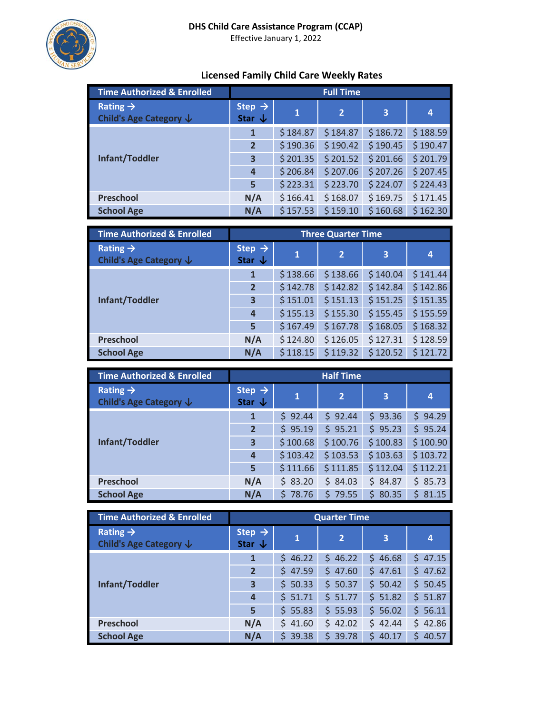

# Effective January 1, 2022

# **Licensed Family Child Care Weekly Rates**

| <b>Time Authorized &amp; Enrolled</b>          | <b>Full Time</b>                        |              |                |                         |          |
|------------------------------------------------|-----------------------------------------|--------------|----------------|-------------------------|----------|
| Rating $\rightarrow$<br>Child's Age Category ↓ | Step $\rightarrow$<br>Star $\downarrow$ | $\mathbf{1}$ | $\overline{2}$ | $\overline{\mathbf{3}}$ | 4        |
| <b>Infant/Toddler</b>                          | 1                                       | \$184.87     | \$184.87       | \$186.72                | \$188.59 |
|                                                | $\overline{2}$                          | \$190.36     | \$190.42       | \$190.45                | \$190.47 |
|                                                | 3                                       | \$201.35     | \$201.52       | \$201.66                | \$201.79 |
|                                                | 4                                       | \$206.84     | \$207.06       | \$207.26                | \$207.45 |
|                                                | 5                                       | \$223.31     | \$223.70       | \$224.07                | \$224.43 |
| <b>Preschool</b>                               | N/A                                     | \$166.41     | \$168.07       | \$169.75                | \$171.45 |
| <b>School Age</b>                              | N/A                                     | \$157.53     | \$159.10       | \$160.68                | \$162.30 |

| <b>Time Authorized &amp; Enrolled</b>                     | <b>Three Quarter Time</b>               |              |                |                         |          |
|-----------------------------------------------------------|-----------------------------------------|--------------|----------------|-------------------------|----------|
| Rating $\rightarrow$<br>Child's Age Category $\downarrow$ | Step $\rightarrow$<br>Star $\downarrow$ | $\mathbf{1}$ | $\overline{2}$ | $\overline{\mathbf{3}}$ | 4        |
| Infant/Toddler                                            | 1                                       | \$138.66     | \$138.66       | \$140.04                | \$141.44 |
|                                                           | $\overline{2}$                          | \$142.78     | \$142.82       | \$142.84                | \$142.86 |
|                                                           | 3                                       | \$151.01     | \$151.13       | \$151.25                | \$151.35 |
|                                                           | $\overline{a}$                          | \$155.13     | \$155.30       | \$155.45                | \$155.59 |
|                                                           | 5                                       | \$167.49     | \$167.78       | \$168.05                | \$168.32 |
| <b>Preschool</b>                                          | N/A                                     | \$124.80     | \$126.05       | \$127.31                | \$128.59 |
| <b>School Age</b>                                         | N/A                                     | \$118.15     | \$119.32       | \$120.52                | \$121.72 |

| <b>Time Authorized &amp; Enrolled</b>          | <b>Half Time</b>                        |          |                |            |            |
|------------------------------------------------|-----------------------------------------|----------|----------------|------------|------------|
| Rating $\rightarrow$<br>Child's Age Category ↓ | Step $\rightarrow$<br>Star $\downarrow$ | 1        | $\overline{2}$ | 3          | 4          |
| <b>Infant/Toddler</b>                          | 1                                       | \$92.44  | \$92.44        | \$93.36    | \$94.29    |
|                                                | $\overline{2}$                          | \$95.19  | \$95.21        | \$95.23    | \$95.24    |
|                                                | 3                                       | \$100.68 | \$100.76       | \$100.83   | \$100.90   |
|                                                | 4                                       | \$103.42 | \$103.53       | \$103.63   | \$103.72   |
|                                                | 5                                       | \$111.66 | \$111.85       | \$112.04   | \$112.21   |
| <b>Preschool</b>                               | N/A                                     | \$83.20  | \$84.03        | \$84.87    | \$85.73    |
| <b>School Age</b>                              | N/A                                     | \$78.76  | \$79.55        | 80.35<br>Ś | 81.15<br>Ś |

| <b>Time Authorized &amp; Enrolled</b>          | <b>Quarter Time</b>                     |              |                |                         |             |
|------------------------------------------------|-----------------------------------------|--------------|----------------|-------------------------|-------------|
| Rating $\rightarrow$<br>Child's Age Category ↓ | Step $\rightarrow$<br>Star $\downarrow$ | $\mathbf{1}$ | $\overline{2}$ | $\overline{\mathbf{3}}$ | 4           |
| Infant/Toddler                                 | 1                                       | 46.22<br>S.  | 46.22<br>S.    | 46.68<br>Ś              | 47.15<br>Ś. |
|                                                | $\overline{2}$                          | 47.59<br>Ś.  | 47.60<br>S.    | Ś<br>47.61              | 47.62<br>Ś  |
|                                                | 3                                       | \$50.33      | \$50.37        | \$50.42                 | \$50.45     |
|                                                | 4                                       | \$51.71      | \$51.77        | \$51.82                 | \$51.87     |
|                                                | 5                                       | 55.83<br>Ś.  | \$55.93        | \$56.02                 | 56.11<br>Ś. |
| <b>Preschool</b>                               | N/A                                     | \$41.60      | \$42.02        | \$42.44                 | \$42.86     |
| <b>School Age</b>                              | N/A                                     | 39.38<br>S   | 39.78<br>Ś     | Ś<br>40.17              | 40.57<br>Ś  |